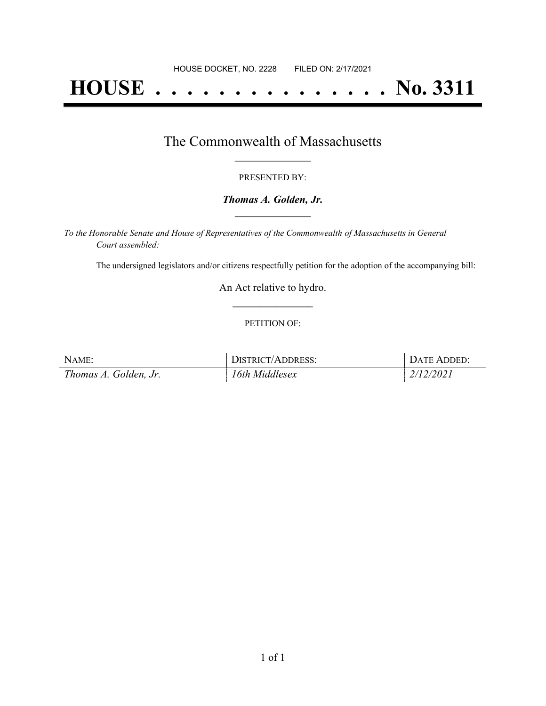# **HOUSE . . . . . . . . . . . . . . . No. 3311**

# The Commonwealth of Massachusetts **\_\_\_\_\_\_\_\_\_\_\_\_\_\_\_\_\_**

#### PRESENTED BY:

#### *Thomas A. Golden, Jr.* **\_\_\_\_\_\_\_\_\_\_\_\_\_\_\_\_\_**

*To the Honorable Senate and House of Representatives of the Commonwealth of Massachusetts in General Court assembled:*

The undersigned legislators and/or citizens respectfully petition for the adoption of the accompanying bill:

An Act relative to hydro. **\_\_\_\_\_\_\_\_\_\_\_\_\_\_\_**

#### PETITION OF:

| NAME:                 | <b>DISTRICT/ADDRESS:</b> | DATE ADDED: |
|-----------------------|--------------------------|-------------|
| Thomas A. Golden, Jr. | 16th Middlesex           | 2/12/2021   |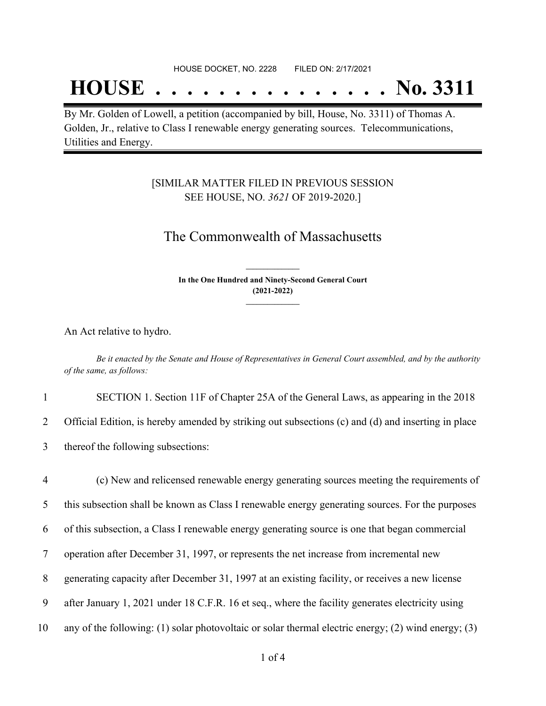# **HOUSE . . . . . . . . . . . . . . . No. 3311**

By Mr. Golden of Lowell, a petition (accompanied by bill, House, No. 3311) of Thomas A. Golden, Jr., relative to Class I renewable energy generating sources. Telecommunications, Utilities and Energy.

### [SIMILAR MATTER FILED IN PREVIOUS SESSION SEE HOUSE, NO. *3621* OF 2019-2020.]

## The Commonwealth of Massachusetts

**In the One Hundred and Ninety-Second General Court (2021-2022) \_\_\_\_\_\_\_\_\_\_\_\_\_\_\_**

**\_\_\_\_\_\_\_\_\_\_\_\_\_\_\_**

An Act relative to hydro.

Be it enacted by the Senate and House of Representatives in General Court assembled, and by the authority *of the same, as follows:*

1 SECTION 1. Section 11F of Chapter 25A of the General Laws, as appearing in the 2018 2 Official Edition, is hereby amended by striking out subsections (c) and (d) and inserting in place

3 thereof the following subsections:

 (c) New and relicensed renewable energy generating sources meeting the requirements of this subsection shall be known as Class I renewable energy generating sources. For the purposes of this subsection, a Class I renewable energy generating source is one that began commercial operation after December 31, 1997, or represents the net increase from incremental new generating capacity after December 31, 1997 at an existing facility, or receives a new license after January 1, 2021 under 18 C.F.R. 16 et seq., where the facility generates electricity using any of the following: (1) solar photovoltaic or solar thermal electric energy; (2) wind energy; (3)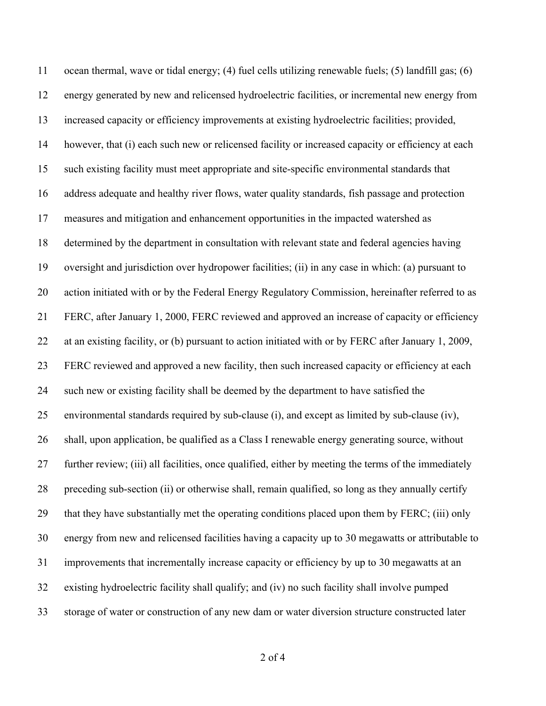ocean thermal, wave or tidal energy; (4) fuel cells utilizing renewable fuels; (5) landfill gas; (6) energy generated by new and relicensed hydroelectric facilities, or incremental new energy from increased capacity or efficiency improvements at existing hydroelectric facilities; provided, however, that (i) each such new or relicensed facility or increased capacity or efficiency at each such existing facility must meet appropriate and site-specific environmental standards that address adequate and healthy river flows, water quality standards, fish passage and protection measures and mitigation and enhancement opportunities in the impacted watershed as determined by the department in consultation with relevant state and federal agencies having oversight and jurisdiction over hydropower facilities; (ii) in any case in which: (a) pursuant to 20 action initiated with or by the Federal Energy Regulatory Commission, hereinafter referred to as FERC, after January 1, 2000, FERC reviewed and approved an increase of capacity or efficiency at an existing facility, or (b) pursuant to action initiated with or by FERC after January 1, 2009, FERC reviewed and approved a new facility, then such increased capacity or efficiency at each such new or existing facility shall be deemed by the department to have satisfied the environmental standards required by sub-clause (i), and except as limited by sub-clause (iv), shall, upon application, be qualified as a Class I renewable energy generating source, without further review; (iii) all facilities, once qualified, either by meeting the terms of the immediately preceding sub-section (ii) or otherwise shall, remain qualified, so long as they annually certify that they have substantially met the operating conditions placed upon them by FERC; (iii) only energy from new and relicensed facilities having a capacity up to 30 megawatts or attributable to improvements that incrementally increase capacity or efficiency by up to 30 megawatts at an existing hydroelectric facility shall qualify; and (iv) no such facility shall involve pumped storage of water or construction of any new dam or water diversion structure constructed later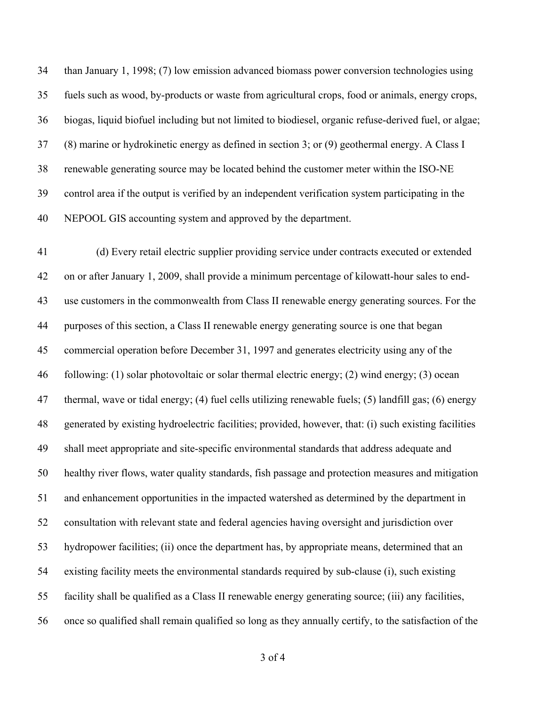than January 1, 1998; (7) low emission advanced biomass power conversion technologies using fuels such as wood, by-products or waste from agricultural crops, food or animals, energy crops, biogas, liquid biofuel including but not limited to biodiesel, organic refuse-derived fuel, or algae; (8) marine or hydrokinetic energy as defined in section 3; or (9) geothermal energy. A Class I renewable generating source may be located behind the customer meter within the ISO-NE control area if the output is verified by an independent verification system participating in the NEPOOL GIS accounting system and approved by the department.

 (d) Every retail electric supplier providing service under contracts executed or extended on or after January 1, 2009, shall provide a minimum percentage of kilowatt-hour sales to end- use customers in the commonwealth from Class II renewable energy generating sources. For the purposes of this section, a Class II renewable energy generating source is one that began commercial operation before December 31, 1997 and generates electricity using any of the following: (1) solar photovoltaic or solar thermal electric energy; (2) wind energy; (3) ocean thermal, wave or tidal energy; (4) fuel cells utilizing renewable fuels; (5) landfill gas; (6) energy generated by existing hydroelectric facilities; provided, however, that: (i) such existing facilities shall meet appropriate and site-specific environmental standards that address adequate and healthy river flows, water quality standards, fish passage and protection measures and mitigation and enhancement opportunities in the impacted watershed as determined by the department in consultation with relevant state and federal agencies having oversight and jurisdiction over hydropower facilities; (ii) once the department has, by appropriate means, determined that an existing facility meets the environmental standards required by sub-clause (i), such existing facility shall be qualified as a Class II renewable energy generating source; (iii) any facilities, once so qualified shall remain qualified so long as they annually certify, to the satisfaction of the

of 4